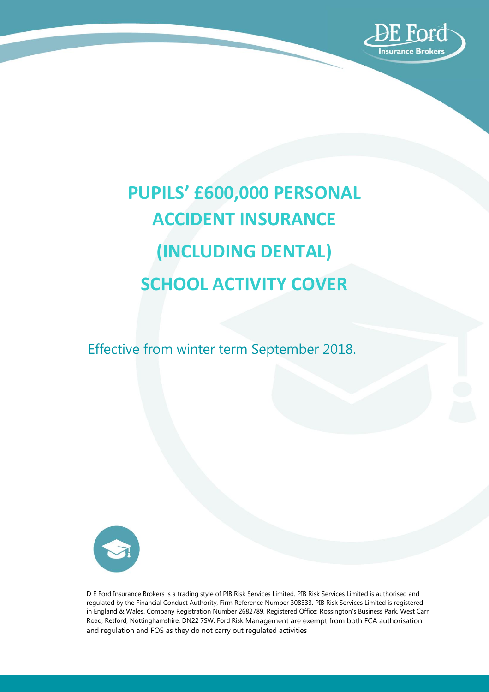

# **PUPILS' £600,000 PERSONAL ACCIDENT INSURANCE (INCLUDING DENTAL) SCHOOL ACTIVITY COVER**

Effective from winter term September 2018.



D E Ford Insurance Brokers is a trading style of PIB Risk Services Limited. PIB Risk Services Limited is authorised and regulated by the Financial Conduct Authority, Firm Reference Number 308333. PIB Risk Services Limited is registered in England & Wales. Company Registration Number 2682789. Registered Office: Rossington's Business Park, West Carr Road, Retford, Nottinghamshire, DN22 7SW. Ford Risk Management are exempt from both FCA authorisation and regulation and FOS as they do not carry out regulated activities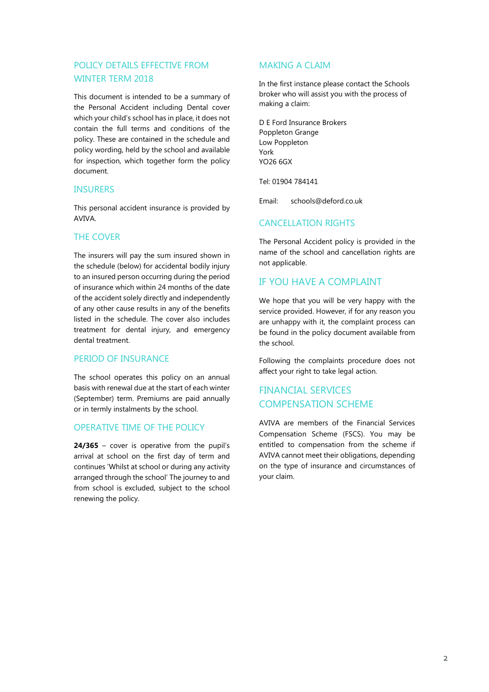## POLICY DETAILS EFFECTIVE FROM WINTER TERM 2018

This document is intended to be a summary of the Personal Accident including Dental cover which your child's school has in place, it does not contain the full terms and conditions of the policy. These are contained in the schedule and policy wording, held by the school and available for inspection, which together form the policy document.

### **INSURERS**

This personal accident insurance is provided by AVIVA.

## THE COVER

The insurers will pay the sum insured shown in the schedule (below) for accidental bodily injury to an insured person occurring during the period of insurance which within 24 months of the date of the accident solely directly and independently of any other cause results in any of the benefits listed in the schedule. The cover also includes treatment for dental injury, and emergency dental treatment.

## PERIOD OF INSURANCE

The school operates this policy on an annual basis with renewal due at the start of each winter (September) term. Premiums are paid annually or in termly instalments by the school.

## OPERATIVE TIME OF THE POLICY

**24/365** – cover is operative from the pupil's arrival at school on the first day of term and continues 'Whilst at school or during any activity arranged through the school' The journey to and from school is excluded, subject to the school renewing the policy.

## MAKING A CLAIM

In the first instance please contact the Schools broker who will assist you with the process of making a claim:

D E Ford Insurance Brokers Poppleton Grange Low Poppleton York YO26 6GX

Tel: 01904 784141

Email: [schools@deford.co.uk](mailto:schools@deford.co.uk)

## CANCELLATION RIGHTS

The Personal Accident policy is provided in the name of the school and cancellation rights are not applicable.

## IF YOU HAVE A COMPLAINT

We hope that you will be very happy with the service provided. However, if for any reason you are unhappy with it, the complaint process can be found in the policy document available from the school.

Following the complaints procedure does not affect your right to take legal action.

## FINANCIAL SERVICES COMPENSATION SCHEME

AVIVA are members of the Financial Services Compensation Scheme (FSCS). You may be entitled to compensation from the scheme if AVIVA cannot meet their obligations, depending on the type of insurance and circumstances of your claim.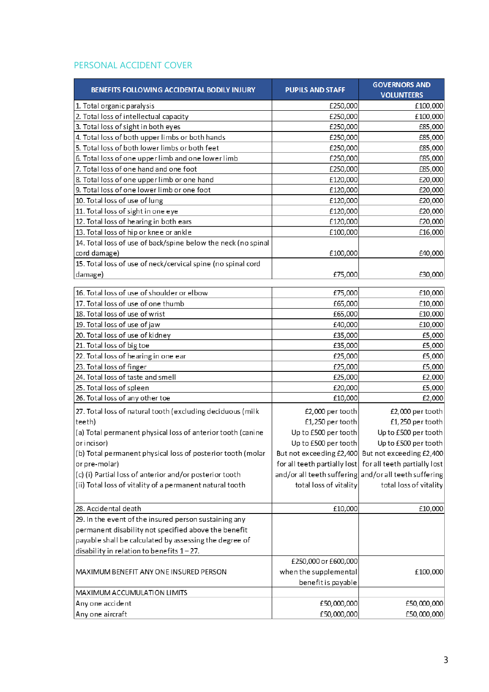## PERSONAL ACCIDENT COVER

| BENEFITS FOLLOWING ACCIDENTAL BODILY INJURY                   | <b>PUPILS AND STAFF</b> | <b>GOVERNORS AND</b><br><b>VOLUNTEERS</b>                 |
|---------------------------------------------------------------|-------------------------|-----------------------------------------------------------|
| 1. Total organic paralysis                                    | £250,000                | £100,000                                                  |
| 2. Total loss of intellectual capacity                        | £250,000                | £100,000                                                  |
| 3. Total loss of sight in both eyes                           | £250,000                | £85,000                                                   |
| 4. Total loss of both upper limbs or both hands               | £250,000                | £85,000                                                   |
| 5. Total loss of both lower limbs or both feet                | £250,000                | £85,000                                                   |
| 6. Total loss of one upper limb and one lower limb            | £250,000                | £85,000                                                   |
| 7. Total loss of one hand and one foot                        | £250,000                | £85,000                                                   |
| 8. Total loss of one upper limb or one hand                   | £120,000                | £20,000                                                   |
| 9. Total loss of one lower limb or one foot                   | £120,000                | £20,000                                                   |
| 10. Total loss of use of lung                                 | £120,000                | £20,000                                                   |
| 11. Total loss of sight in one eye                            | £120,000                | £20,000                                                   |
| 12. Total loss of hearing in both ears                        | £120,000                | £20,000                                                   |
| 13. Total loss of hip or knee or ankle                        | £100,000                | £16,000                                                   |
| 14. Total loss of use of back/spine below the neck (no spinal |                         |                                                           |
| cord damage)                                                  | £100,000                | £40,000                                                   |
| 15. Total loss of use of neck/cervical spine (no spinal cord  |                         |                                                           |
| damage)                                                       | £75,000                 | £30,000                                                   |
|                                                               |                         |                                                           |
| 16. Total loss of use of shoulder or elbow                    | £75,000                 | £10,000                                                   |
| 17. Total loss of use of one thumb                            | £65,000                 | £10,000                                                   |
| 18. Total loss of use of wrist                                | £65,000                 | £10,000                                                   |
| 19. Total loss of use of jaw                                  | £40,000                 | £10,000                                                   |
| 20. Total loss of use of kidney                               | £35,000                 | £5,000                                                    |
| 21. Total loss of big toe                                     | £35,000                 | £5,000                                                    |
| 22. Total loss of hearing in one ear                          | £25,000                 | £5,000                                                    |
| 23. Total loss of finger                                      | £25,000                 | £5,000                                                    |
| 24. Total loss of taste and smell                             | £25,000                 | £2,000                                                    |
| 25. Total loss of spleen                                      | £20,000                 | £5,000                                                    |
| 26. Total loss of any other toe                               | £10,000                 | £2,000                                                    |
| 27. Total loss of natural tooth (excluding deciduous (milk    | £2,000 per tooth        | £2,000 per tooth                                          |
| teeth)                                                        | £1,250 per tooth        | £1,250 per tooth                                          |
| (a) Total permanent physical loss of anterior tooth (canine   | Up to £500 per tooth    | Up to £500 per tooth                                      |
| or incisor)                                                   | Up to £500 per tooth    | Up to £500 per tooth                                      |
| (b) Total permanent physical loss of posterior tooth (molar   |                         | But not exceeding £2,400 But not exceeding £2,400         |
| or pre-molar)                                                 |                         | for all teeth partially lost for all teeth partially lost |
| (c) (i) Partial loss of anterior and/or posterior tooth       |                         | and/or all teeth suffering and/or all teeth suffering     |
| (ii) Total loss of vitality of a permanent natural tooth      | total loss of vitality  | total loss of vitality                                    |
|                                                               |                         |                                                           |
| 28. Accidental death                                          | £10,000                 | £10,000                                                   |
| 29. In the event of the insured person sustaining any         |                         |                                                           |
| permanent disability not specified above the benefit          |                         |                                                           |
| payable shall be calculated by assessing the degree of        |                         |                                                           |
| disability in relation to benefits $1-27$ .                   |                         |                                                           |
|                                                               | £250,000 or £600,000    |                                                           |
| MAXIMUM BENEFIT ANY ONE INSURED PERSON                        | when the supplemental   | £100,000                                                  |
|                                                               | benefit is payable      |                                                           |
| MAXIMUM ACCUMULATION LIMITS                                   |                         |                                                           |
| Any one accident                                              | £50,000,000             | £50,000,000                                               |
| Any one aircraft                                              | £50,000,000             | £50,000,000                                               |
|                                                               |                         |                                                           |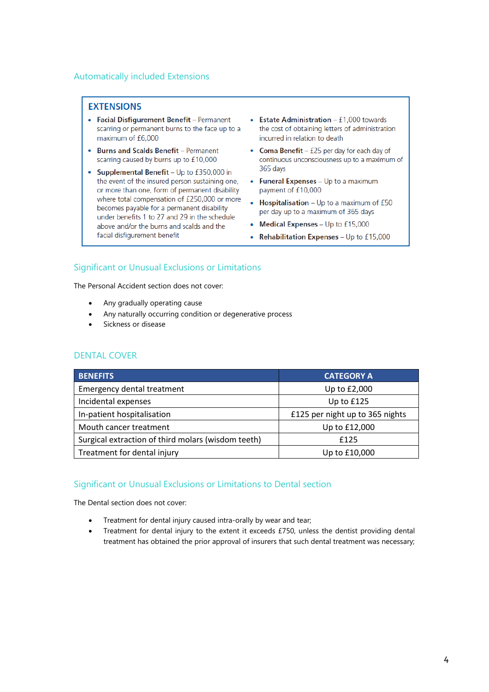## Automatically included Extensions

## **EXTENSIONS**

- Facial Disfigurement Benefit Permanent scarring or permanent burns to the face up to a maximum of £6,000
- Burns and Scalds Benefit Permanent scarring caused by burns up to £10,000
- Supplemental Benefit Up to £350,000 in the event of the insured person sustaining one, or more than one, form of permanent disability where total compensation of £250,000 or more becomes payable for a permanent disability under benefits 1 to 27 and 29 in the schedule above and/or the burns and scalds and the facial disfigurement benefit
- Estate Administration  $f1,000$  towards the cost of obtaining letters of administration incurred in relation to death
- Coma Benefit £25 per day for each day of continuous unconsciousness up to a maximum of 365 days
- Funeral Expenses Up to a maximum payment of £10,000
- **Hospitalisation** Up to a maximum of  $£50$  $\bullet$ per day up to a maximum of 365 days
- Medical Expenses Up to £15,000
- Rehabilitation Expenses Up to £15,000

## Significant or Unusual Exclusions or Limitations

The Personal Accident section does not cover:

- Any gradually operating cause
- Any naturally occurring condition or degenerative process
- Sickness or disease

### DENTAL COVER

| <b>BENEFITS</b>                                    | <b>CATEGORY A</b>               |
|----------------------------------------------------|---------------------------------|
| <b>Emergency dental treatment</b>                  | Up to £2,000                    |
| Incidental expenses                                | Up to £125                      |
| In-patient hospitalisation                         | £125 per night up to 365 nights |
| Mouth cancer treatment                             | Up to £12,000                   |
| Surgical extraction of third molars (wisdom teeth) | £125                            |
| Treatment for dental injury                        | Up to £10,000                   |

## Significant or Unusual Exclusions or Limitations to Dental section

The Dental section does not cover:

- Treatment for dental injury caused intra-orally by wear and tear;
- Treatment for dental injury to the extent it exceeds £750, unless the dentist providing dental treatment has obtained the prior approval of insurers that such dental treatment was necessary;